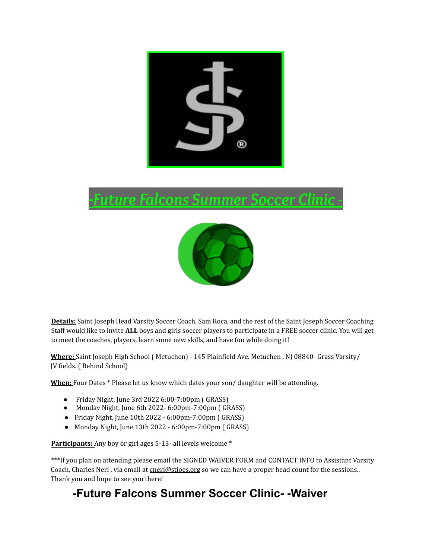## d.

## *-Future Falcons Summer Soccer Clinic -*



**Details:** Saint Joseph Head Varsity Soccer Coach, Sam Roca, and the rest of the Saint Joseph Soccer Coaching Staff would like to invite **ALL** boys and girls soccer players to participate in a FREE soccer clinic. You will get to meet the coaches, players, learn some new skills, and have fun while doing it!

**Where:** Saint Joseph High School ( Metuchen) - 145 Plainfield Ave. Metuchen , NJ 08840- Grass Varsity/ JV fields. ( Behind School)

**When:** Four Dates \* Please let us know which dates your son/ daughter will be attending.

- Friday Night, June 3rd 2022 6:00-7:00pm ( GRASS)
- Monday Night, June 6th 2022- 6:00pm-7:00pm ( GRASS)
- Friday Night, June 10th 2022 6:00pm-7:00pm ( GRASS)
- Monday Night, June 13th 2022 6:00pm-7:00pm ( GRASS)

Participants: Any boy or girl ages 5-13- all levels welcome \*

\*\*\*If you plan on attending please email the SIGNED WAIVER FORM and CONTACT INFO to Assistant Varsity Coach, Charles Neri, via email at cneri@stjoes.org so we can have a proper head count for the sessions.. Thank you and hope to see you there!

## **-Future Falcons Summer Soccer Clinic- -Waiver**